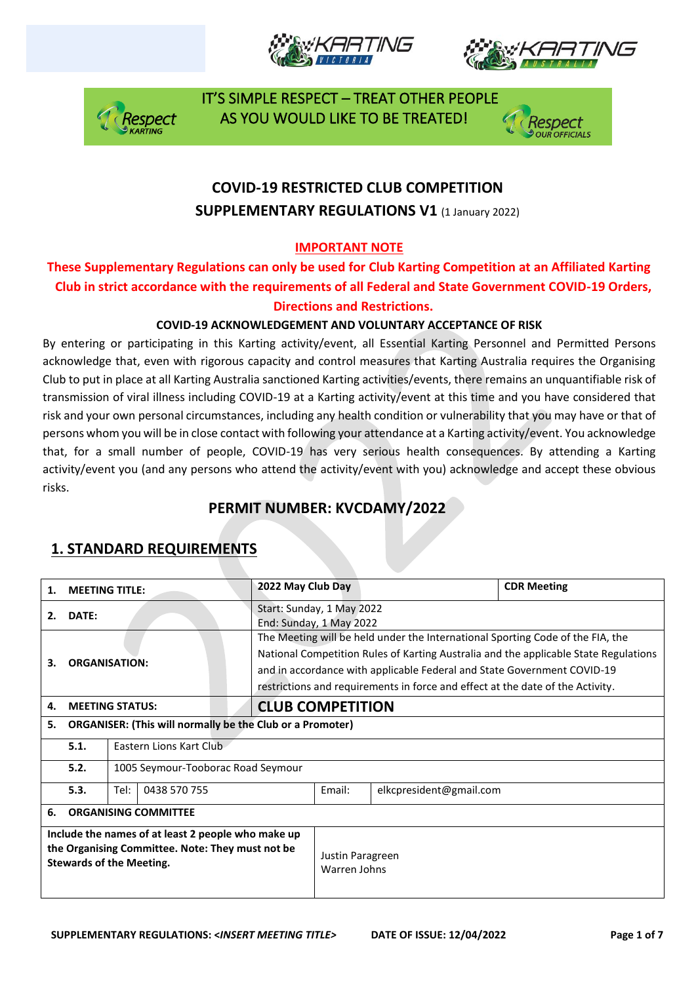







## **COVID-19 RESTRICTED CLUB COMPETITION SUPPLEMENTARY REGULATIONS V1 (1 January 2022)**

#### **IMPORTANT NOTE**

#### **These Supplementary Regulations can only be used for Club Karting Competition at an Affiliated Karting Club in strict accordance with the requirements of all Federal and State Government COVID-19 Orders, Directions and Restrictions.**

#### **COVID-19 ACKNOWLEDGEMENT AND VOLUNTARY ACCEPTANCE OF RISK**

By entering or participating in this Karting activity/event, all Essential Karting Personnel and Permitted Persons acknowledge that, even with rigorous capacity and control measures that Karting Australia requires the Organising Club to put in place at all Karting Australia sanctioned Karting activities/events, there remains an unquantifiable risk of transmission of viral illness including COVID-19 at a Karting activity/event at this time and you have considered that risk and your own personal circumstances, including any health condition or vulnerability that you may have or that of persons whom you will be in close contact with following your attendance at a Karting activity/event. You acknowledge that, for a small number of people, COVID-19 has very serious health consequences. By attending a Karting activity/event you (and any persons who attend the activity/event with you) acknowledge and accept these obvious risks.

### **PERMIT NUMBER: KVCDAMY/2022**

| 1.                                                                                                                                        | <b>MEETING TITLE:</b>                  |                                                                  | 2022 May Club Day                                                                                                                                                                                                                                                                                                                   |                         |        | <b>CDR Meeting</b>      |  |
|-------------------------------------------------------------------------------------------------------------------------------------------|----------------------------------------|------------------------------------------------------------------|-------------------------------------------------------------------------------------------------------------------------------------------------------------------------------------------------------------------------------------------------------------------------------------------------------------------------------------|-------------------------|--------|-------------------------|--|
| DATE:<br>2.                                                                                                                               |                                        |                                                                  | Start: Sunday, 1 May 2022<br>End: Sunday, 1 May 2022                                                                                                                                                                                                                                                                                |                         |        |                         |  |
| <b>ORGANISATION:</b><br>З.                                                                                                                |                                        |                                                                  | The Meeting will be held under the International Sporting Code of the FIA, the<br>National Competition Rules of Karting Australia and the applicable State Regulations<br>and in accordance with applicable Federal and State Government COVID-19<br>restrictions and requirements in force and effect at the date of the Activity. |                         |        |                         |  |
| 4.                                                                                                                                        | <b>MEETING STATUS:</b>                 |                                                                  |                                                                                                                                                                                                                                                                                                                                     | <b>CLUB COMPETITION</b> |        |                         |  |
| 5.                                                                                                                                        |                                        | <b>ORGANISER: (This will normally be the Club or a Promoter)</b> |                                                                                                                                                                                                                                                                                                                                     |                         |        |                         |  |
|                                                                                                                                           | 5.1.<br><b>Fastern Lions Kart Club</b> |                                                                  |                                                                                                                                                                                                                                                                                                                                     |                         |        |                         |  |
|                                                                                                                                           | 5.2.                                   | 1005 Seymour-Tooborac Road Seymour                               |                                                                                                                                                                                                                                                                                                                                     |                         |        |                         |  |
|                                                                                                                                           | 5.3.                                   | Tel:<br>0438 570 755                                             |                                                                                                                                                                                                                                                                                                                                     |                         | Email: | elkcpresident@gmail.com |  |
| 6.                                                                                                                                        | <b>ORGANISING COMMITTEE</b>            |                                                                  |                                                                                                                                                                                                                                                                                                                                     |                         |        |                         |  |
| Include the names of at least 2 people who make up<br>the Organising Committee. Note: They must not be<br><b>Stewards of the Meeting.</b> |                                        |                                                                  | Justin Paragreen<br>Warren Johns                                                                                                                                                                                                                                                                                                    |                         |        |                         |  |

### **1. STANDARD REQUIREMENTS**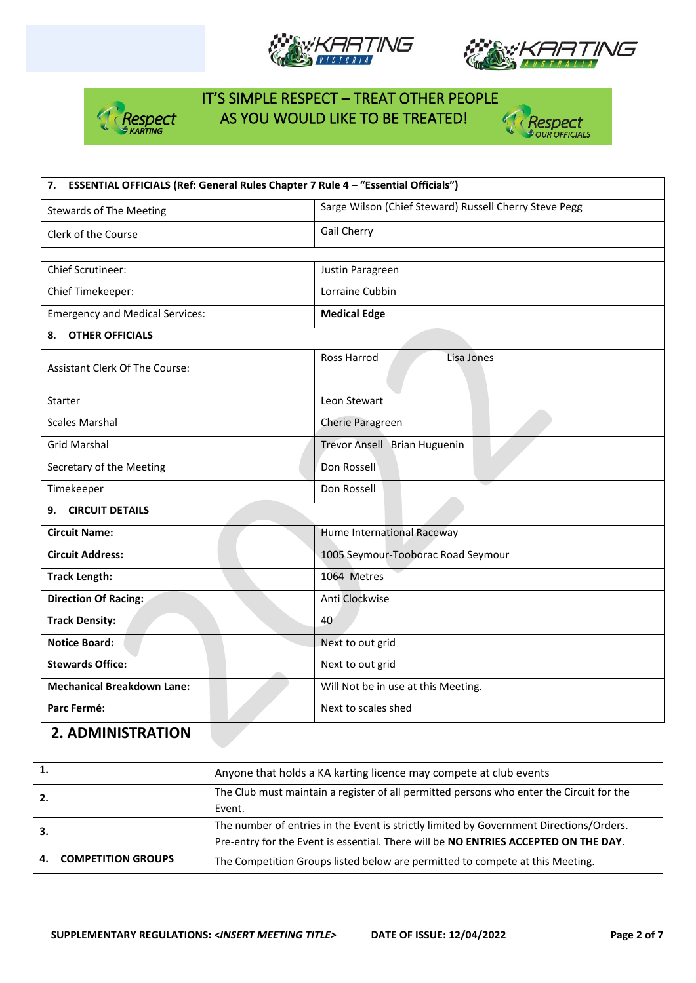







| 7. ESSENTIAL OFFICIALS (Ref: General Rules Chapter 7 Rule 4 - "Essential Officials") |                                                        |  |  |  |
|--------------------------------------------------------------------------------------|--------------------------------------------------------|--|--|--|
| <b>Stewards of The Meeting</b>                                                       | Sarge Wilson (Chief Steward) Russell Cherry Steve Pegg |  |  |  |
| Clerk of the Course                                                                  | Gail Cherry                                            |  |  |  |
|                                                                                      |                                                        |  |  |  |
| <b>Chief Scrutineer:</b>                                                             | Justin Paragreen                                       |  |  |  |
| Chief Timekeeper:                                                                    | Lorraine Cubbin                                        |  |  |  |
| <b>Emergency and Medical Services:</b>                                               | <b>Medical Edge</b>                                    |  |  |  |
| <b>OTHER OFFICIALS</b><br>8.                                                         |                                                        |  |  |  |
| <b>Assistant Clerk Of The Course:</b>                                                | Ross Harrod<br>Lisa Jones                              |  |  |  |
| Starter                                                                              | Leon Stewart                                           |  |  |  |
| <b>Scales Marshal</b>                                                                | Cherie Paragreen                                       |  |  |  |
| <b>Grid Marshal</b>                                                                  | Trevor Ansell Brian Huguenin                           |  |  |  |
| Secretary of the Meeting                                                             | Don Rossell                                            |  |  |  |
| Timekeeper                                                                           | Don Rossell                                            |  |  |  |
| 9. CIRCUIT DETAILS                                                                   |                                                        |  |  |  |
| <b>Circuit Name:</b>                                                                 | Hume International Raceway                             |  |  |  |
| <b>Circuit Address:</b>                                                              | 1005 Seymour-Tooborac Road Seymour                     |  |  |  |
| <b>Track Length:</b>                                                                 | 1064 Metres                                            |  |  |  |
| <b>Direction Of Racing:</b>                                                          | Anti Clockwise                                         |  |  |  |
| <b>Track Density:</b>                                                                | 40                                                     |  |  |  |
| <b>Notice Board:</b>                                                                 | Next to out grid                                       |  |  |  |
| <b>Stewards Office:</b>                                                              | Next to out grid                                       |  |  |  |
| <b>Mechanical Breakdown Lane:</b>                                                    | Will Not be in use at this Meeting.                    |  |  |  |
| Parc Fermé:                                                                          | Next to scales shed                                    |  |  |  |

#### **2. ADMINISTRATION**

| 1.  |                           | Anyone that holds a KA karting licence may compete at club events                        |
|-----|---------------------------|------------------------------------------------------------------------------------------|
| 2.  |                           | The Club must maintain a register of all permitted persons who enter the Circuit for the |
|     |                           | Event.                                                                                   |
| -3. |                           | The number of entries in the Event is strictly limited by Government Directions/Orders.  |
|     |                           | Pre-entry for the Event is essential. There will be NO ENTRIES ACCEPTED ON THE DAY.      |
| Δ.  | <b>COMPETITION GROUPS</b> | The Competition Groups listed below are permitted to compete at this Meeting.            |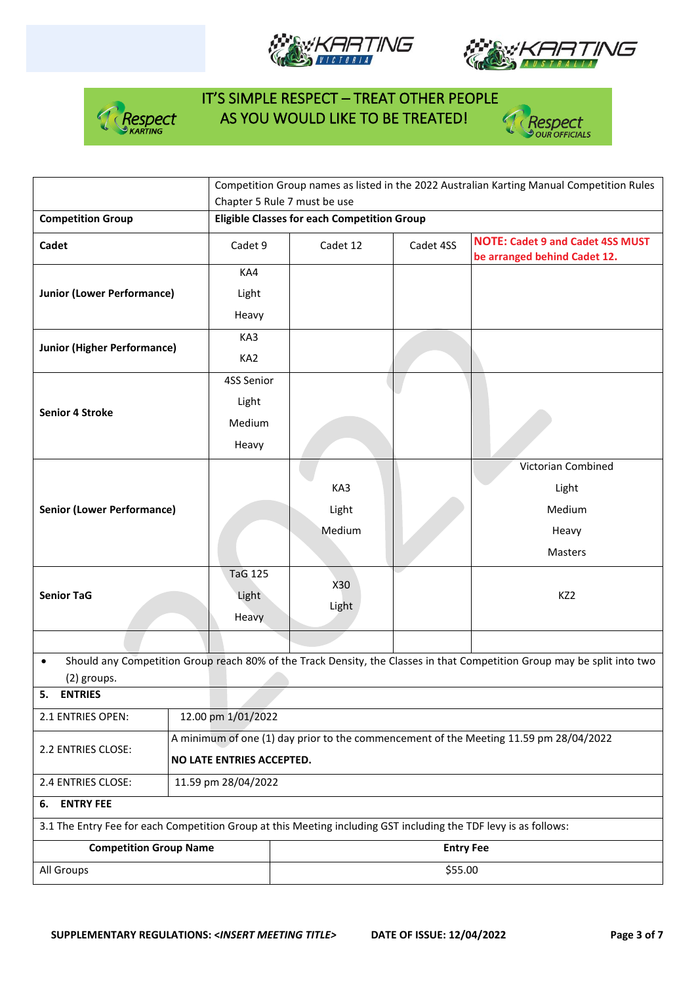







|                                                                                                                  |                                                                                       | Chapter 5 Rule 7 must be use                       |           | Competition Group names as listed in the 2022 Australian Karting Manual Competition Rules                                |  |  |  |
|------------------------------------------------------------------------------------------------------------------|---------------------------------------------------------------------------------------|----------------------------------------------------|-----------|--------------------------------------------------------------------------------------------------------------------------|--|--|--|
| <b>Competition Group</b>                                                                                         |                                                                                       | <b>Eligible Classes for each Competition Group</b> |           |                                                                                                                          |  |  |  |
| Cadet                                                                                                            | Cadet 9                                                                               | Cadet 12                                           | Cadet 4SS | <b>NOTE: Cadet 9 and Cadet 4SS MUST</b><br>be arranged behind Cadet 12.                                                  |  |  |  |
|                                                                                                                  | KA4                                                                                   |                                                    |           |                                                                                                                          |  |  |  |
| <b>Junior (Lower Performance)</b>                                                                                | Light                                                                                 |                                                    |           |                                                                                                                          |  |  |  |
|                                                                                                                  | Heavy                                                                                 |                                                    |           |                                                                                                                          |  |  |  |
| <b>Junior (Higher Performance)</b>                                                                               | KA3                                                                                   |                                                    |           |                                                                                                                          |  |  |  |
|                                                                                                                  | KA <sub>2</sub>                                                                       |                                                    |           |                                                                                                                          |  |  |  |
|                                                                                                                  | 4SS Senior                                                                            |                                                    |           |                                                                                                                          |  |  |  |
| <b>Senior 4 Stroke</b>                                                                                           | Light                                                                                 |                                                    |           |                                                                                                                          |  |  |  |
|                                                                                                                  | Medium                                                                                |                                                    |           |                                                                                                                          |  |  |  |
|                                                                                                                  | Heavy                                                                                 |                                                    |           |                                                                                                                          |  |  |  |
|                                                                                                                  |                                                                                       |                                                    |           | Victorian Combined                                                                                                       |  |  |  |
|                                                                                                                  |                                                                                       | KA3                                                |           | Light                                                                                                                    |  |  |  |
| <b>Senior (Lower Performance)</b>                                                                                |                                                                                       | Light                                              |           | Medium                                                                                                                   |  |  |  |
|                                                                                                                  |                                                                                       | Medium                                             |           | Heavy                                                                                                                    |  |  |  |
|                                                                                                                  |                                                                                       |                                                    |           | Masters                                                                                                                  |  |  |  |
|                                                                                                                  | <b>TaG 125</b>                                                                        | X30                                                |           |                                                                                                                          |  |  |  |
| <b>Senior TaG</b>                                                                                                | Light                                                                                 | Light                                              |           | KZ <sub>2</sub>                                                                                                          |  |  |  |
|                                                                                                                  | Heavy                                                                                 |                                                    |           |                                                                                                                          |  |  |  |
|                                                                                                                  |                                                                                       |                                                    |           |                                                                                                                          |  |  |  |
| $\bullet$<br>(2) groups.                                                                                         |                                                                                       |                                                    |           | Should any Competition Group reach 80% of the Track Density, the Classes in that Competition Group may be split into two |  |  |  |
| 5.<br><b>ENTRIES</b>                                                                                             |                                                                                       |                                                    |           |                                                                                                                          |  |  |  |
| 2.1 ENTRIES OPEN:                                                                                                | 12.00 pm 1/01/2022                                                                    |                                                    |           |                                                                                                                          |  |  |  |
| 2.2 ENTRIES CLOSE:                                                                                               | A minimum of one (1) day prior to the commencement of the Meeting 11.59 pm 28/04/2022 |                                                    |           |                                                                                                                          |  |  |  |
|                                                                                                                  | NO LATE ENTRIES ACCEPTED.                                                             |                                                    |           |                                                                                                                          |  |  |  |
| 2.4 ENTRIES CLOSE:<br>11.59 pm 28/04/2022                                                                        |                                                                                       |                                                    |           |                                                                                                                          |  |  |  |
| <b>ENTRY FEE</b><br>6.                                                                                           |                                                                                       |                                                    |           |                                                                                                                          |  |  |  |
| 3.1 The Entry Fee for each Competition Group at this Meeting including GST including the TDF levy is as follows: |                                                                                       |                                                    |           |                                                                                                                          |  |  |  |
| <b>Competition Group Name</b>                                                                                    | <b>Entry Fee</b>                                                                      |                                                    |           |                                                                                                                          |  |  |  |
|                                                                                                                  |                                                                                       |                                                    |           |                                                                                                                          |  |  |  |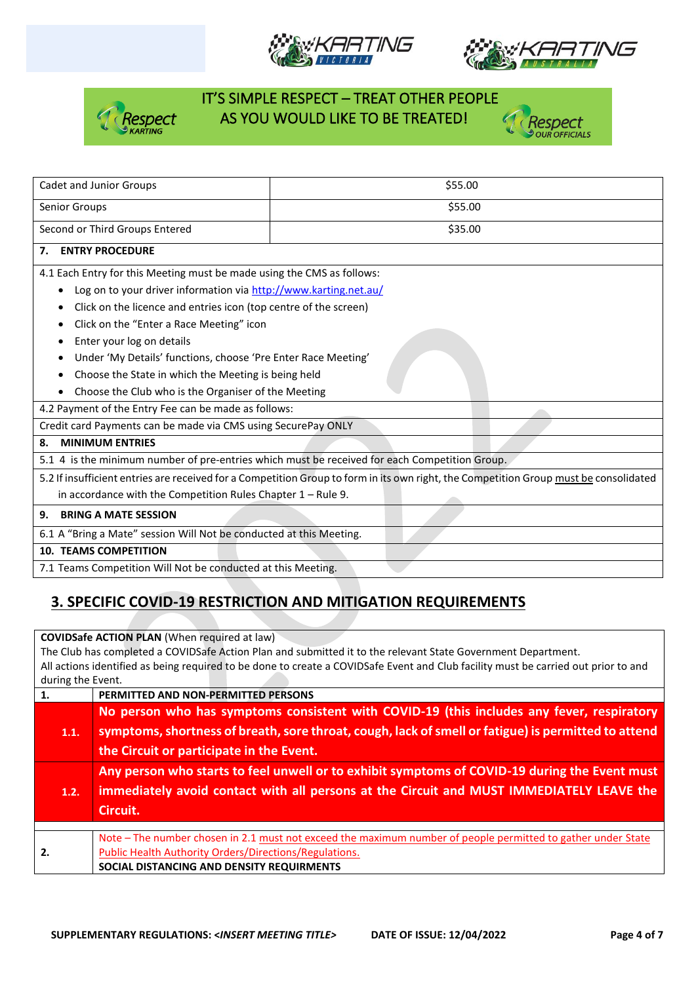







| <b>Cadet and Junior Groups</b>                                         | \$55.00                                                                                                                               |  |  |  |  |  |
|------------------------------------------------------------------------|---------------------------------------------------------------------------------------------------------------------------------------|--|--|--|--|--|
| Senior Groups                                                          | \$55.00                                                                                                                               |  |  |  |  |  |
| Second or Third Groups Entered                                         | \$35.00                                                                                                                               |  |  |  |  |  |
| <b>ENTRY PROCEDURE</b><br>7.                                           |                                                                                                                                       |  |  |  |  |  |
| 4.1 Each Entry for this Meeting must be made using the CMS as follows: |                                                                                                                                       |  |  |  |  |  |
| Log on to your driver information via http://www.karting.net.au/<br>٠  |                                                                                                                                       |  |  |  |  |  |
| Click on the licence and entries icon (top centre of the screen)<br>٠  |                                                                                                                                       |  |  |  |  |  |
| Click on the "Enter a Race Meeting" icon<br>٠                          |                                                                                                                                       |  |  |  |  |  |
| Enter your log on details<br>٠                                         |                                                                                                                                       |  |  |  |  |  |
| Under 'My Details' functions, choose 'Pre Enter Race Meeting'          |                                                                                                                                       |  |  |  |  |  |
| Choose the State in which the Meeting is being held                    |                                                                                                                                       |  |  |  |  |  |
|                                                                        | Choose the Club who is the Organiser of the Meeting                                                                                   |  |  |  |  |  |
| 4.2 Payment of the Entry Fee can be made as follows:                   |                                                                                                                                       |  |  |  |  |  |
| Credit card Payments can be made via CMS using SecurePay ONLY          |                                                                                                                                       |  |  |  |  |  |
| <b>MINIMUM ENTRIES</b><br>8.                                           |                                                                                                                                       |  |  |  |  |  |
|                                                                        | 5.1 4 is the minimum number of pre-entries which must be received for each Competition Group.                                         |  |  |  |  |  |
|                                                                        | 5.2 If insufficient entries are received for a Competition Group to form in its own right, the Competition Group must be consolidated |  |  |  |  |  |
| in accordance with the Competition Rules Chapter $1 -$ Rule 9.         |                                                                                                                                       |  |  |  |  |  |
| <b>BRING A MATE SESSION</b><br>9.                                      |                                                                                                                                       |  |  |  |  |  |
| 6.1 A "Bring a Mate" session Will Not be conducted at this Meeting.    |                                                                                                                                       |  |  |  |  |  |
| <b>10. TEAMS COMPETITION</b>                                           |                                                                                                                                       |  |  |  |  |  |
| 7.1 Teams Competition Will Not be conducted at this Meeting.           |                                                                                                                                       |  |  |  |  |  |
|                                                                        |                                                                                                                                       |  |  |  |  |  |

### **3. SPECIFIC COVID-19 RESTRICTION AND MITIGATION REQUIREMENTS**

**COVIDSafe ACTION PLAN** (When required at law)

The Club has completed a COVIDSafe Action Plan and submitted it to the relevant State Government Department. All actions identified as being required to be done to create a COVIDSafe Event and Club facility must be carried out prior to and during the Event. **1. PERMITTED AND NON-PERMITTED PERSONS**

| 1.   | PERMITTED AND NON-PERMITTED PERSONS                                                                                                                                                                                                          |
|------|----------------------------------------------------------------------------------------------------------------------------------------------------------------------------------------------------------------------------------------------|
| 1.1. | No person who has symptoms consistent with COVID-19 (this includes any fever, respiratory<br>symptoms, shortness of breath, sore throat, cough, lack of smell or fatigue) is permitted to attend<br>the Circuit or participate in the Event. |
| 1.2. | Any person who starts to feel unwell or to exhibit symptoms of COVID-19 during the Event must<br>immediately avoid contact with all persons at the Circuit and MUST IMMEDIATELY LEAVE the<br>Circuit.                                        |
|      |                                                                                                                                                                                                                                              |
| 2.   | Note - The number chosen in 2.1 must not exceed the maximum number of people permitted to gather under State<br><b>Public Health Authority Orders/Directions/Regulations.</b><br>SOCIAL DISTANCING AND DENSITY REQUIRMENTS                   |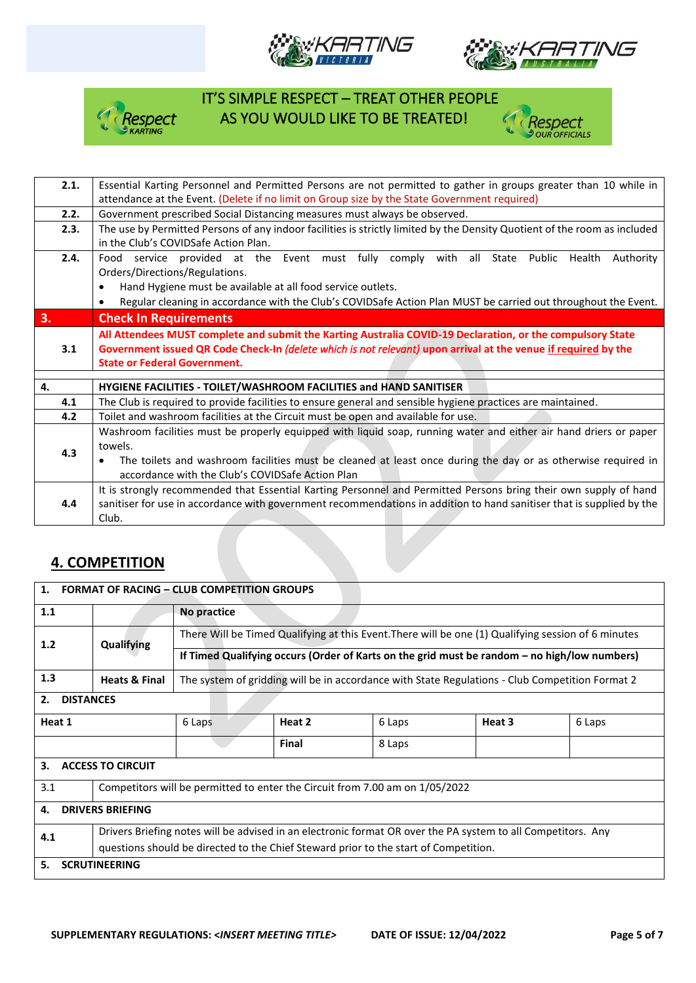







| 2.1. | Essential Karting Personnel and Permitted Persons are not permitted to gather in groups greater than 10 while in          |
|------|---------------------------------------------------------------------------------------------------------------------------|
|      |                                                                                                                           |
|      | attendance at the Event. (Delete if no limit on Group size by the State Government required)                              |
| 2.2. | Government prescribed Social Distancing measures must always be observed.                                                 |
| 2.3. | The use by Permitted Persons of any indoor facilities is strictly limited by the Density Quotient of the room as included |
|      | in the Club's COVIDSafe Action Plan.                                                                                      |
| 2.4. | Food service provided at the Event must fully comply with all State Public Health<br>Authority                            |
|      | Orders/Directions/Regulations.                                                                                            |
|      | Hand Hygiene must be available at all food service outlets.<br>$\bullet$                                                  |
|      | Regular cleaning in accordance with the Club's COVIDSafe Action Plan MUST be carried out throughout the Event.            |
|      |                                                                                                                           |
| 3.   | <b>Check In Requirements</b>                                                                                              |
|      | All Attendees MUST complete and submit the Karting Australia COVID-19 Declaration, or the compulsory State                |
| 3.1  | Government issued QR Code Check-In (delete which is not relevant) upon arrival at the venue if required by the            |
|      | <b>State or Federal Government.</b>                                                                                       |
|      |                                                                                                                           |
| 4.   | HYGIENE FACILITIES - TOILET/WASHROOM FACILITIES and HAND SANITISER                                                        |
| 4.1  | The Club is required to provide facilities to ensure general and sensible hygiene practices are maintained.               |
| 4.2  | Toilet and washroom facilities at the Circuit must be open and available for use.                                         |
|      | Washroom facilities must be properly equipped with liquid soap, running water and either air hand driers or paper         |
|      | towels.                                                                                                                   |
| 4.3  | The toilets and washroom facilities must be cleaned at least once during the day or as otherwise required in              |
|      | accordance with the Club's COVIDSafe Action Plan                                                                          |
|      |                                                                                                                           |
|      | It is strongly recommended that Essential Karting Personnel and Permitted Persons bring their own supply of hand          |
| 4.4  | sanitiser for use in accordance with government recommendations in addition to hand sanitiser that is supplied by the     |
|      | Club.                                                                                                                     |

### **4. COMPETITION**

| <b>FORMAT OF RACING - CLUB COMPETITION GROUPS</b><br>1. |                                                                              |                                                                                                              |        |                                                                                      |                                                                                                     |        |  |
|---------------------------------------------------------|------------------------------------------------------------------------------|--------------------------------------------------------------------------------------------------------------|--------|--------------------------------------------------------------------------------------|-----------------------------------------------------------------------------------------------------|--------|--|
| 1.1                                                     |                                                                              | No practice                                                                                                  |        |                                                                                      |                                                                                                     |        |  |
| 1.2                                                     | Qualifying                                                                   |                                                                                                              |        |                                                                                      | There Will be Timed Qualifying at this Event. There will be one (1) Qualifying session of 6 minutes |        |  |
|                                                         |                                                                              | If Timed Qualifying occurs (Order of Karts on the grid must be random - no high/low numbers)                 |        |                                                                                      |                                                                                                     |        |  |
| 1.3                                                     | <b>Heats &amp; Final</b>                                                     | The system of gridding will be in accordance with State Regulations - Club Competition Format 2              |        |                                                                                      |                                                                                                     |        |  |
| <b>DISTANCES</b><br>2.                                  |                                                                              |                                                                                                              |        |                                                                                      |                                                                                                     |        |  |
| Heat 1                                                  |                                                                              | 6 Laps                                                                                                       | Heat 2 | 6 Laps                                                                               | Heat 3                                                                                              | 6 Laps |  |
|                                                         |                                                                              |                                                                                                              | Final  | 8 Laps                                                                               |                                                                                                     |        |  |
| 3.<br><b>ACCESS TO CIRCUIT</b>                          |                                                                              |                                                                                                              |        |                                                                                      |                                                                                                     |        |  |
| 3.1                                                     | Competitors will be permitted to enter the Circuit from 7.00 am on 1/05/2022 |                                                                                                              |        |                                                                                      |                                                                                                     |        |  |
| <b>DRIVERS BRIEFING</b><br>4.                           |                                                                              |                                                                                                              |        |                                                                                      |                                                                                                     |        |  |
| 4.1                                                     |                                                                              | Drivers Briefing notes will be advised in an electronic format OR over the PA system to all Competitors. Any |        |                                                                                      |                                                                                                     |        |  |
|                                                         |                                                                              |                                                                                                              |        | questions should be directed to the Chief Steward prior to the start of Competition. |                                                                                                     |        |  |
| <b>SCRUTINEERING</b><br>5.                              |                                                                              |                                                                                                              |        |                                                                                      |                                                                                                     |        |  |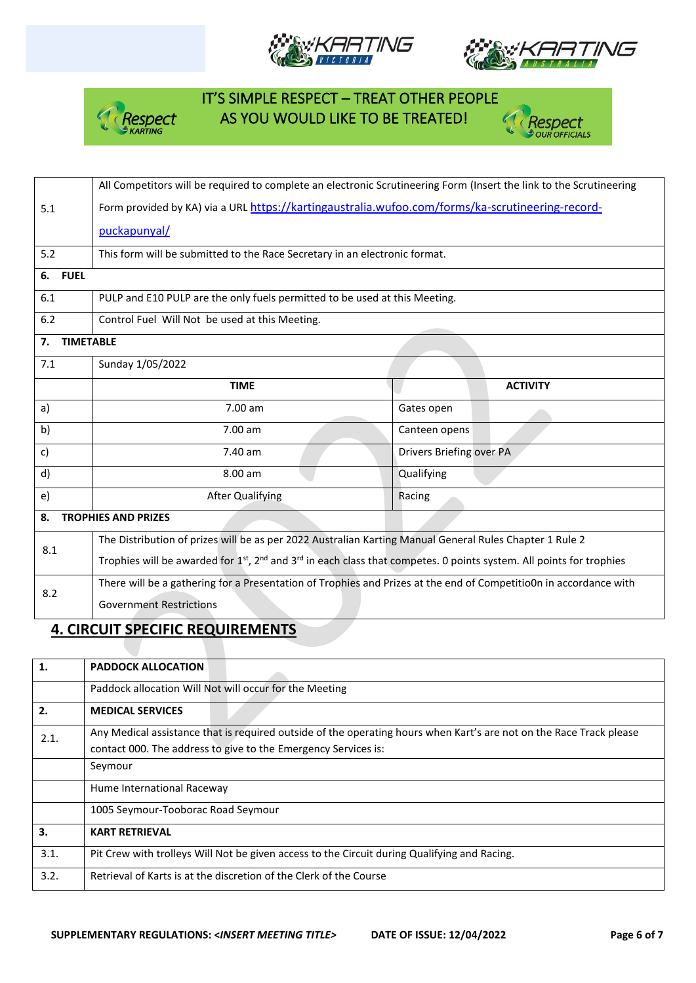







|                        | All Competitors will be required to complete an electronic Scrutineering Form (Insert the link to the Scrutineering |                          |  |  |  |  |
|------------------------|---------------------------------------------------------------------------------------------------------------------|--------------------------|--|--|--|--|
| 5.1                    | Form provided by KA) via a URL https://kartingaustralia.wufoo.com/forms/ka-scrutineering-record-                    |                          |  |  |  |  |
|                        | puckapunyal/                                                                                                        |                          |  |  |  |  |
| 5.2                    | This form will be submitted to the Race Secretary in an electronic format.                                          |                          |  |  |  |  |
| 6. FUEL                |                                                                                                                     |                          |  |  |  |  |
| 6.1                    | PULP and E10 PULP are the only fuels permitted to be used at this Meeting.                                          |                          |  |  |  |  |
| 6.2                    | Control Fuel Will Not be used at this Meeting.                                                                      |                          |  |  |  |  |
| 7.<br><b>TIMETABLE</b> |                                                                                                                     |                          |  |  |  |  |
| 7.1                    | Sunday 1/05/2022                                                                                                    |                          |  |  |  |  |
|                        | <b>TIME</b>                                                                                                         | <b>ACTIVITY</b>          |  |  |  |  |
| a)                     | 7.00 am                                                                                                             | Gates open               |  |  |  |  |
| b)                     | 7.00 am                                                                                                             | Canteen opens            |  |  |  |  |
| c)                     | 7.40 am                                                                                                             | Drivers Briefing over PA |  |  |  |  |
| d)                     | 8.00 am                                                                                                             | Qualifying               |  |  |  |  |
| e)                     | <b>After Qualifying</b><br>Racing                                                                                   |                          |  |  |  |  |
| 8.                     | <b>TROPHIES AND PRIZES</b>                                                                                          |                          |  |  |  |  |
| 8.1                    | The Distribution of prizes will be as per 2022 Australian Karting Manual General Rules Chapter 1 Rule 2             |                          |  |  |  |  |
|                        | Trophies will be awarded for 1st, 2nd and 3rd in each class that competes. 0 points system. All points for trophies |                          |  |  |  |  |
| 8.2                    | There will be a gathering for a Presentation of Trophies and Prizes at the end of Competitio0n in accordance with   |                          |  |  |  |  |
|                        | <b>Government Restrictions</b>                                                                                      |                          |  |  |  |  |

#### **4. CIRCUIT SPECIFIC REQUIREMENTS**

| 1.   | <b>PADDOCK ALLOCATION</b>                                                                                           |
|------|---------------------------------------------------------------------------------------------------------------------|
|      | Paddock allocation Will Not will occur for the Meeting                                                              |
| 2.   | <b>MEDICAL SERVICES</b>                                                                                             |
| 2.1. | Any Medical assistance that is required outside of the operating hours when Kart's are not on the Race Track please |
|      | contact 000. The address to give to the Emergency Services is:                                                      |
|      | Seymour                                                                                                             |
|      | Hume International Raceway                                                                                          |
|      | 1005 Seymour-Tooborac Road Seymour                                                                                  |
| 3.   | <b>KART RETRIEVAL</b>                                                                                               |
| 3.1. | Pit Crew with trolleys Will Not be given access to the Circuit during Qualifying and Racing.                        |
| 3.2. | Retrieval of Karts is at the discretion of the Clerk of the Course                                                  |
|      |                                                                                                                     |